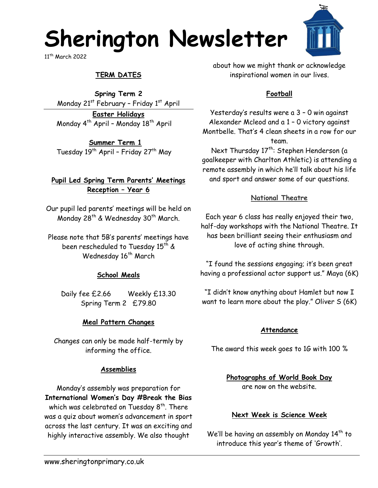## **Sherington Newsletter**

11th March 2022

## **TERM DATES**

**Spring Term 2** Monday 21<sup>st</sup> February - Friday 1<sup>st</sup> April

**Easter Holidays** Monday  $4^{th}$  April - Monday  $18^{th}$  April

**Summer Term 1** Tuesday  $19^{th}$  April - Friday  $27^{th}$  May

## **Pupil Led Spring Term Parents' Meetings Reception – Year 6**

Our pupil led parents' meetings will be held on Monday 28<sup>th</sup> & Wednesday 30<sup>th</sup> March.

Please note that 5B's parents' meetings have been rescheduled to Tuesday 15<sup>th</sup> & Wednesday 16<sup>th</sup> March

## **School Meals**

Daily fee £2.66 Weekly £13.30 Spring Term 2 £79.80

## **Meal Pattern Changes**

Changes can only be made half-termly by informing the office.

## **Assemblies**

Monday's assembly was preparation for **International Women's Day #Break the Bias** which was celebrated on Tuesday  $8^{\text{th}}$ . There was a quiz about women's advancement in sport across the last century. It was an exciting and highly interactive assembly. We also thought

about how we might thank or acknowledge inspirational women in our lives.

## **Football**

Yesterday's results were a 3 – 0 win against Alexander Mcleod and a 1 – 0 victory against Montbelle. That's 4 clean sheets in a row for our team.

Next Thursday 17<sup>th</sup>: Stephen Henderson (a goalkeeper with Charlton Athletic) is attending a remote assembly in which he'll talk about his life and sport and answer some of our questions.

### **National Theatre**

Each year 6 class has really enjoyed their two, half-day workshops with the National Theatre. It has been brilliant seeing their enthusiasm and love of acting shine through.

"I found the sessions engaging; it's been great having a professional actor support us." Maya (6K)

"I didn't know anything about Hamlet but now I want to learn more about the play." Oliver S (6K)

### **Attendance**

The award this week goes to 1G with 100 %

**Photographs of World Book Day**  are now on the website.

## **Next Week is Science Week**

We'll be having an assembly on Monday 14<sup>th</sup> to introduce this year's theme of 'Growth'.

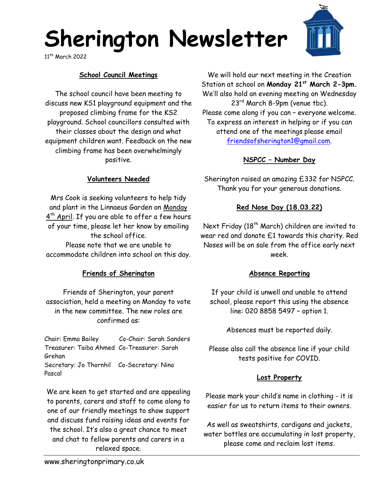# **Sherington Newsletter**

11th March 2022

## **School Council Meetings**

The school council have been meeting to discuss new KS1 playground equipment and the proposed climbing frame for the KS2 playground. School councillors consulted with their classes about the design and what equipment children want. Feedback on the new climbing frame has been overwhelmingly positive.

We will hold our next meeting in the Creation Station at school on **Monday 21st March 2-3pm.** We'll also hold an evening meeting on Wednesday 23rd March 8-9pm (venue tbc). Please come along if you can – everyone welcome. To express an interest in helping or if you can attend one of the meetings please email [friendsofsherington1@gmail.com.](mailto:friendsofsherington1@gmail.com)

## **NSPCC – Number Day**

Sherington raised an amazing £332 for NSPCC. Thank you for your generous donations.

## **Red Nose Day (18.03.22)**

Next Friday (18<sup>th</sup> March) children are invited to wear red and donate £1 towards this charity. Red Noses will be on sale from the office early next week.

### **Absence Reporting**

If your child is unwell and unable to attend school, please report this using the absence line: 020 8858 5497 – option 1.

Absences must be reported daily.

Please also call the absence line if your child tests positive for COVID.

## **Lost Property**

Please mark your child's name in clothing - it is easier for us to return items to their owners.

As well as sweatshirts, cardigans and jackets, water bottles are accumulating in lost property, please come and reclaim lost items.

### **Volunteers Needed**

Mrs Cook is seeking volunteers to help tidy and plant in the Linnaeus Garden on Monday 4<sup>th</sup> April. If you are able to offer a few hours of your time, please let her know by emailing the school office. Please note that we are unable to accommodate children into school on this day.

## **Friends of Sherington**

Friends of Sherington, your parent association, held a meeting on Monday to vote in the new committee. The new roles are confirmed as:

Chair: Emma Bailey Co-Chair: Sarah Sanders Treasurer: Taiba Ahmed Co-Treasurer: Sarah Grehan Secretary: Jo Thornhil Co-Secretary: Nina Pascal

We are keen to get started and are appealing to parents, carers and staff to come along to one of our friendly meetings to show support and discuss fund raising ideas and events for the school. It's also a great chance to meet and chat to fellow parents and carers in a relaxed space.

www.sheringtonprimary.co.uk